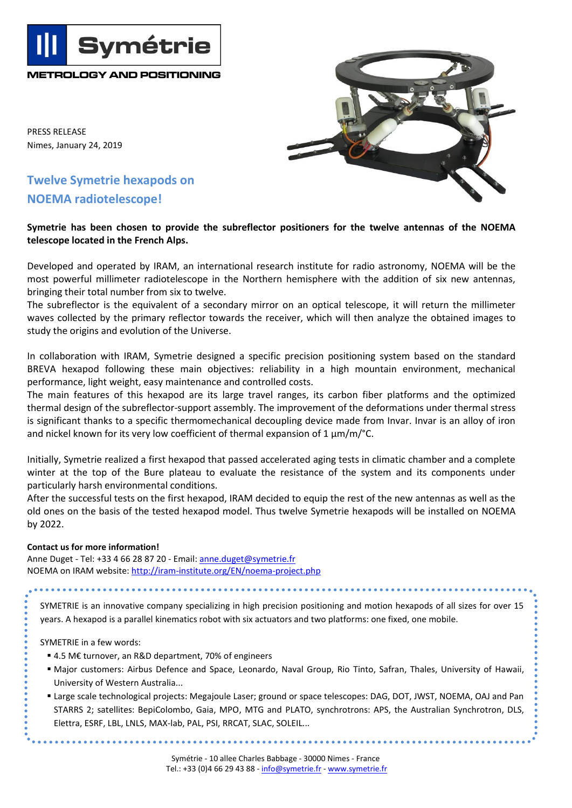PRESS RELEASE Nimes, January 24, 2019

## **Twelve Symetrie hexapods on NOEMA radiotelescope!**

**METROLOGY AND POSITIONING**

**Symétrie** 



## **Symetrie has been chosen to provide the subreflector positioners for the twelve antennas of the NOEMA telescope located in the French Alps.**

Developed and operated by IRAM, an international research institute for radio astronomy, NOEMA will be the most powerful millimeter radiotelescope in the Northern hemisphere with the addition of six new antennas, bringing their total number from six to twelve.

The subreflector is the equivalent of a secondary mirror on an optical telescope, it will return the millimeter waves collected by the primary reflector towards the receiver, which will then analyze the obtained images to study the origins and evolution of the Universe.

In collaboration with IRAM, Symetrie designed a specific precision positioning system based on the standard BREVA hexapod following these main objectives: reliability in a high mountain environment, mechanical performance, light weight, easy maintenance and controlled costs.

The main features of this hexapod are its large travel ranges, its carbon fiber platforms and the optimized thermal design of the subreflector-support assembly. The improvement of the deformations under thermal stress is significant thanks to a specific thermomechanical decoupling device made from Invar. Invar is an alloy of iron and nickel known for its very low coefficient of thermal expansion of 1 μm/m/°C.

Initially, Symetrie realized a first hexapod that passed accelerated aging tests in climatic chamber and a complete winter at the top of the Bure plateau to evaluate the resistance of the system and its components under particularly harsh environmental conditions.

After the successful tests on the first hexapod, IRAM decided to equip the rest of the new antennas as well as the old ones on the basis of the tested hexapod model. Thus twelve Symetrie hexapods will be installed on NOEMA by 2022.

## **Contact us for more information!**

Anne Duget - Tel: +33 4 66 28 87 20 - Email: [anne.duget@symetrie.fr](mailto:anne.duget@symetrie.fr) NOEMA on IRAM website:<http://iram-institute.org/EN/noema-project.php>

SYMETRIE is an innovative company specializing in high precision positioning and motion hexapods of all sizes for over 15 years. A hexapod is a parallel kinematics robot with six actuators and two platforms: one fixed, one mobile.

SYMETRIE in a few words:

- 4.5 M€ turnover, an R&D department, 70% of engineers
- Major customers: Airbus Defence and Space, Leonardo, Naval Group, Rio Tinto, Safran, Thales, University of Hawaii, University of Western Australia...
- Large scale technological projects: Megajoule Laser; ground or space telescopes: DAG, DOT, JWST, NOEMA, OAJ and Pan STARRS 2; satellites: BepiColombo, Gaia, MPO, MTG and PLATO, synchrotrons: APS, the Australian Synchrotron, DLS, Elettra, ESRF, LBL, LNLS, MAX-lab, PAL, PSI, RRCAT, SLAC, SOLEIL...

...............................